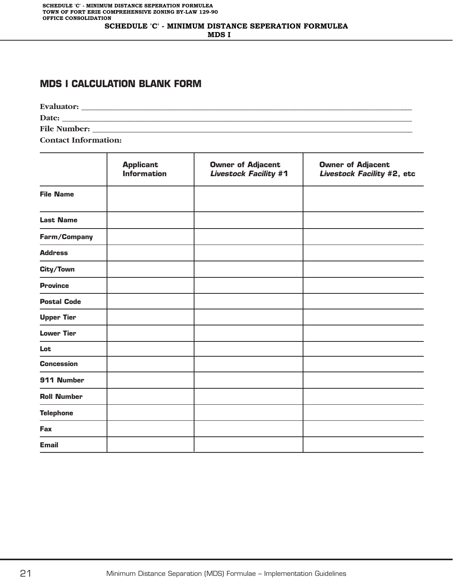#### **MDS I CALCULATION BLANK FORM**

**Evaluator: \_\_\_\_\_\_\_\_\_\_\_\_\_\_\_\_\_\_\_\_\_\_\_\_\_\_\_\_\_\_\_\_\_\_\_\_\_\_\_\_\_\_\_\_\_\_\_\_\_\_\_\_\_\_\_\_\_\_\_\_\_\_\_\_\_\_\_\_\_\_\_\_\_\_\_\_\_\_\_\_\_\_ Date: \_\_\_\_\_\_\_\_\_\_\_\_\_\_\_\_\_\_\_\_\_\_\_\_\_\_\_\_\_\_\_\_\_\_\_\_\_\_\_\_\_\_\_\_\_\_\_\_\_\_\_\_\_\_\_\_\_\_\_\_\_\_\_\_\_\_\_\_\_\_\_\_\_\_\_\_\_\_\_\_\_\_\_\_\_\_ File Number: \_\_\_\_\_\_\_\_\_\_\_\_\_\_\_\_\_\_\_\_\_\_\_\_\_\_\_\_\_\_\_\_\_\_\_\_\_\_\_\_\_\_\_\_\_\_\_\_\_\_\_\_\_\_\_\_\_\_\_\_\_\_\_\_\_\_\_\_\_\_\_\_\_\_\_\_\_\_\_ Contact Information:**

|                    | <b>Applicant</b><br><b>Information</b> | <b>Owner of Adjacent</b><br><b>Livestock Facility #1</b> | <b>Owner of Adjacent</b><br>Livestock Facility #2, etc |
|--------------------|----------------------------------------|----------------------------------------------------------|--------------------------------------------------------|
| <b>File Name</b>   |                                        |                                                          |                                                        |
| <b>Last Name</b>   |                                        |                                                          |                                                        |
| Farm/Company       |                                        |                                                          |                                                        |
| <b>Address</b>     |                                        |                                                          |                                                        |
| City/Town          |                                        |                                                          |                                                        |
| <b>Province</b>    |                                        |                                                          |                                                        |
| <b>Postal Code</b> |                                        |                                                          |                                                        |
| <b>Upper Tier</b>  |                                        |                                                          |                                                        |
| <b>Lower Tier</b>  |                                        |                                                          |                                                        |
| Lot                |                                        |                                                          |                                                        |
| <b>Concession</b>  |                                        |                                                          |                                                        |
| 911 Number         |                                        |                                                          |                                                        |
| <b>Roll Number</b> |                                        |                                                          |                                                        |
| <b>Telephone</b>   |                                        |                                                          |                                                        |
| Fax                |                                        |                                                          |                                                        |
| <b>Email</b>       |                                        |                                                          |                                                        |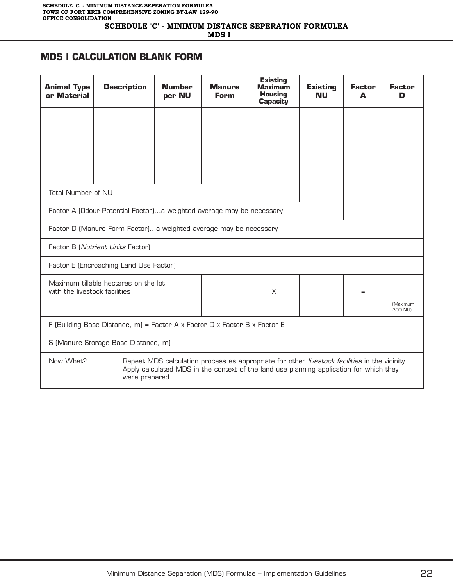**SCHEDULE 'C' - MINIMUM DISTANCE SEPERATION FORMULEA**

 **MDS I** 

#### **MDS I CALCULATION BLANK FORM**

| <b>Animal Type</b><br>or Material                                         | <b>Description</b>                   | <b>Number</b><br>per NU | <b>Manure</b><br><b>Form</b> | <b>Existing</b><br><b>Maximum</b><br><b>Housing</b><br><b>Capacity</b>                                                                                                                   | <b>Existing</b><br><b>NU</b> | <b>Factor</b><br>A | <b>Factor</b><br>D |
|---------------------------------------------------------------------------|--------------------------------------|-------------------------|------------------------------|------------------------------------------------------------------------------------------------------------------------------------------------------------------------------------------|------------------------------|--------------------|--------------------|
|                                                                           |                                      |                         |                              |                                                                                                                                                                                          |                              |                    |                    |
|                                                                           |                                      |                         |                              |                                                                                                                                                                                          |                              |                    |                    |
|                                                                           |                                      |                         |                              |                                                                                                                                                                                          |                              |                    |                    |
| Total Number of NU                                                        |                                      |                         |                              |                                                                                                                                                                                          |                              |                    |                    |
| Factor A (Odour Potential Factor) a weighted average may be necessary     |                                      |                         |                              |                                                                                                                                                                                          |                              |                    |                    |
| Factor D (Manure Form Factor)a weighted average may be necessary          |                                      |                         |                              |                                                                                                                                                                                          |                              |                    |                    |
| Factor B (Nutrient Units Factor)                                          |                                      |                         |                              |                                                                                                                                                                                          |                              |                    |                    |
| Factor E (Encroaching Land Use Factor)                                    |                                      |                         |                              |                                                                                                                                                                                          |                              |                    |                    |
| with the livestock facilities                                             | Maximum tillable hectares on the lot |                         |                              | X                                                                                                                                                                                        |                              | $=$                | (Maximum           |
|                                                                           |                                      |                         |                              |                                                                                                                                                                                          |                              |                    | 300 NU)            |
| F (Building Base Distance, m) = Factor A x Factor D x Factor B x Factor E |                                      |                         |                              |                                                                                                                                                                                          |                              |                    |                    |
| S (Manure Storage Base Distance, m)                                       |                                      |                         |                              |                                                                                                                                                                                          |                              |                    |                    |
| Now What?                                                                 | were prepared.                       |                         |                              | Repeat MDS calculation process as appropriate for other livestock facilities in the vicinity.<br>Apply calculated MDS in the context of the land use planning application for which they |                              |                    |                    |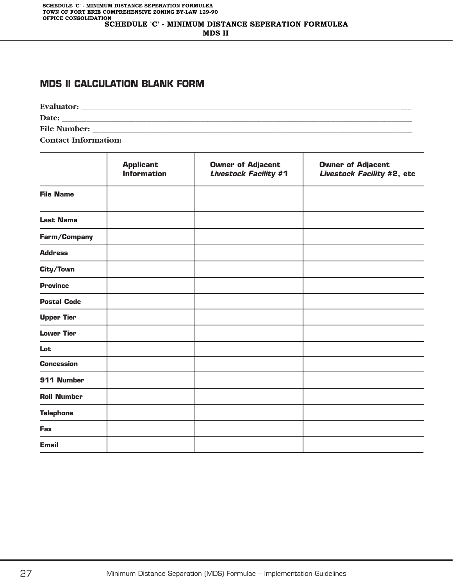#### **MDS II CALCULATION BLANK FORM**

**Evaluator:**  $\blacksquare$ **Date: \_\_\_\_\_\_\_\_\_\_\_\_\_\_\_\_\_\_\_\_\_\_\_\_\_\_\_\_\_\_\_\_\_\_\_\_\_\_\_\_\_\_\_\_\_\_\_\_\_\_\_\_\_\_\_\_\_\_\_\_\_\_\_\_\_\_\_\_\_\_\_\_\_\_\_\_\_\_\_\_\_\_\_\_\_\_ File Number: \_\_\_\_\_\_\_\_\_\_\_\_\_\_\_\_\_\_\_\_\_\_\_\_\_\_\_\_\_\_\_\_\_\_\_\_\_\_\_\_\_\_\_\_\_\_\_\_\_\_\_\_\_\_\_\_\_\_\_\_\_\_\_\_\_\_\_\_\_\_\_\_\_\_\_\_\_\_\_ Contact Information:**

|                    | <b>Applicant</b><br><b>Information</b> | <b>Owner of Adjacent</b><br><b>Livestock Facility #1</b> | <b>Owner of Adjacent</b><br>Livestock Facility #2, etc |
|--------------------|----------------------------------------|----------------------------------------------------------|--------------------------------------------------------|
| <b>File Name</b>   |                                        |                                                          |                                                        |
| <b>Last Name</b>   |                                        |                                                          |                                                        |
| Farm/Company       |                                        |                                                          |                                                        |
| <b>Address</b>     |                                        |                                                          |                                                        |
| City/Town          |                                        |                                                          |                                                        |
| <b>Province</b>    |                                        |                                                          |                                                        |
| <b>Postal Code</b> |                                        |                                                          |                                                        |
| <b>Upper Tier</b>  |                                        |                                                          |                                                        |
| <b>Lower Tier</b>  |                                        |                                                          |                                                        |
| Lot                |                                        |                                                          |                                                        |
| <b>Concession</b>  |                                        |                                                          |                                                        |
| 911 Number         |                                        |                                                          |                                                        |
| <b>Roll Number</b> |                                        |                                                          |                                                        |
| <b>Telephone</b>   |                                        |                                                          |                                                        |
| Fax                |                                        |                                                          |                                                        |
| <b>Email</b>       |                                        |                                                          |                                                        |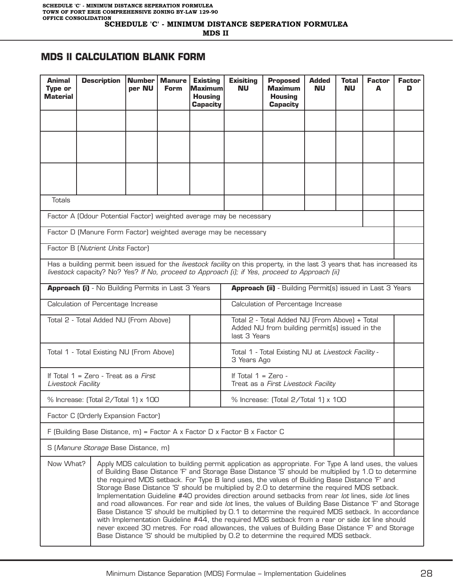### **MDS II CALCULATION BLANK FORM**

| <b>Animal</b><br>Type or<br>Material                                                                                                                                                                                                                                                                                                                                                                                                                                                                                                                                                                                                                                                                                                                                                                                                                                                                                                                                                                                                              | <b>Description</b>                                                        | <b>Number</b><br>per NU | <b>Manure</b><br><b>Form</b> | <b>Existing</b><br><b>Maximum</b><br><b>Housing</b><br><b>Capacity</b> | <b>Exisiting</b><br>NU                                                                                          | <b>Proposed</b><br><b>Maximum</b><br><b>Housing</b><br><b>Capacity</b> | <b>Added</b><br>Nυ | Total<br>NU | <b>Factor</b><br>A | <b>Factor</b><br>D |
|---------------------------------------------------------------------------------------------------------------------------------------------------------------------------------------------------------------------------------------------------------------------------------------------------------------------------------------------------------------------------------------------------------------------------------------------------------------------------------------------------------------------------------------------------------------------------------------------------------------------------------------------------------------------------------------------------------------------------------------------------------------------------------------------------------------------------------------------------------------------------------------------------------------------------------------------------------------------------------------------------------------------------------------------------|---------------------------------------------------------------------------|-------------------------|------------------------------|------------------------------------------------------------------------|-----------------------------------------------------------------------------------------------------------------|------------------------------------------------------------------------|--------------------|-------------|--------------------|--------------------|
|                                                                                                                                                                                                                                                                                                                                                                                                                                                                                                                                                                                                                                                                                                                                                                                                                                                                                                                                                                                                                                                   |                                                                           |                         |                              |                                                                        |                                                                                                                 |                                                                        |                    |             |                    |                    |
|                                                                                                                                                                                                                                                                                                                                                                                                                                                                                                                                                                                                                                                                                                                                                                                                                                                                                                                                                                                                                                                   |                                                                           |                         |                              |                                                                        |                                                                                                                 |                                                                        |                    |             |                    |                    |
|                                                                                                                                                                                                                                                                                                                                                                                                                                                                                                                                                                                                                                                                                                                                                                                                                                                                                                                                                                                                                                                   |                                                                           |                         |                              |                                                                        |                                                                                                                 |                                                                        |                    |             |                    |                    |
| <b>Totals</b>                                                                                                                                                                                                                                                                                                                                                                                                                                                                                                                                                                                                                                                                                                                                                                                                                                                                                                                                                                                                                                     |                                                                           |                         |                              |                                                                        |                                                                                                                 |                                                                        |                    |             |                    |                    |
|                                                                                                                                                                                                                                                                                                                                                                                                                                                                                                                                                                                                                                                                                                                                                                                                                                                                                                                                                                                                                                                   | Factor A (Odour Potential Factor) weighted average may be necessary       |                         |                              |                                                                        |                                                                                                                 |                                                                        |                    |             |                    |                    |
|                                                                                                                                                                                                                                                                                                                                                                                                                                                                                                                                                                                                                                                                                                                                                                                                                                                                                                                                                                                                                                                   | Factor D (Manure Form Factor) weighted average may be necessary           |                         |                              |                                                                        |                                                                                                                 |                                                                        |                    |             |                    |                    |
|                                                                                                                                                                                                                                                                                                                                                                                                                                                                                                                                                                                                                                                                                                                                                                                                                                                                                                                                                                                                                                                   | Factor B (Nutrient Units Factor)                                          |                         |                              |                                                                        |                                                                                                                 |                                                                        |                    |             |                    |                    |
| Has a building permit been issued for the livestock facility on this property, in the last 3 years that has increased its<br>livestock capacity? No? Yes? If No, proceed to Approach (i); if Yes, proceed to Approach (ii)                                                                                                                                                                                                                                                                                                                                                                                                                                                                                                                                                                                                                                                                                                                                                                                                                        |                                                                           |                         |                              |                                                                        |                                                                                                                 |                                                                        |                    |             |                    |                    |
| Approach (i) - No Building Permits in Last 3 Years<br>Approach (ii) - Building Permit(s) issued in Last 3 Years                                                                                                                                                                                                                                                                                                                                                                                                                                                                                                                                                                                                                                                                                                                                                                                                                                                                                                                                   |                                                                           |                         |                              |                                                                        |                                                                                                                 |                                                                        |                    |             |                    |                    |
|                                                                                                                                                                                                                                                                                                                                                                                                                                                                                                                                                                                                                                                                                                                                                                                                                                                                                                                                                                                                                                                   | Calculation of Percentage Increase                                        |                         |                              |                                                                        |                                                                                                                 | Calculation of Percentage Increase                                     |                    |             |                    |                    |
|                                                                                                                                                                                                                                                                                                                                                                                                                                                                                                                                                                                                                                                                                                                                                                                                                                                                                                                                                                                                                                                   | Total 2 - Total Added NU (From Above)                                     |                         |                              |                                                                        | Total 2 - Total Added NU (From Above) + Total<br>Added NU from building permit(s) issued in the<br>last 3 Years |                                                                        |                    |             |                    |                    |
|                                                                                                                                                                                                                                                                                                                                                                                                                                                                                                                                                                                                                                                                                                                                                                                                                                                                                                                                                                                                                                                   | Total 1 - Total Existing NU (From Above)                                  |                         |                              |                                                                        | 3 Years Ago                                                                                                     | Total 1 - Total Existing NU at Livestock Facility -                    |                    |             |                    |                    |
| Livestock Facility                                                                                                                                                                                                                                                                                                                                                                                                                                                                                                                                                                                                                                                                                                                                                                                                                                                                                                                                                                                                                                | If Total $1 =$ Zero - Treat as a First                                    |                         |                              |                                                                        | If Total $1 =$ Zero -<br>Treat as a First Livestock Facility                                                    |                                                                        |                    |             |                    |                    |
|                                                                                                                                                                                                                                                                                                                                                                                                                                                                                                                                                                                                                                                                                                                                                                                                                                                                                                                                                                                                                                                   | % Increase: (Total 2/Total 1) x 100                                       |                         |                              |                                                                        |                                                                                                                 | % Increase: (Total 2/Total 1) x 100                                    |                    |             |                    |                    |
|                                                                                                                                                                                                                                                                                                                                                                                                                                                                                                                                                                                                                                                                                                                                                                                                                                                                                                                                                                                                                                                   | Factor C (Orderly Expansion Factor)                                       |                         |                              |                                                                        |                                                                                                                 |                                                                        |                    |             |                    |                    |
|                                                                                                                                                                                                                                                                                                                                                                                                                                                                                                                                                                                                                                                                                                                                                                                                                                                                                                                                                                                                                                                   | F (Building Base Distance, m) = Factor A x Factor D x Factor B x Factor C |                         |                              |                                                                        |                                                                                                                 |                                                                        |                    |             |                    |                    |
|                                                                                                                                                                                                                                                                                                                                                                                                                                                                                                                                                                                                                                                                                                                                                                                                                                                                                                                                                                                                                                                   | S (Manure Storage Base Distance, m)                                       |                         |                              |                                                                        |                                                                                                                 |                                                                        |                    |             |                    |                    |
| Now What?<br>Apply MDS calculation to building permit application as appropriate. For Type A land uses, the values<br>of Building Base Distance 'F' and Storage Base Distance 'S' should be multiplied by 1.0 to determine<br>the required MDS setback. For Type B land uses, the values of Building Base Distance 'F' and<br>Storage Base Distance 'S' should be multiplied by 2.0 to determine the required MDS setback.<br>Implementation Guideline #40 provides direction around setbacks from rear lot lines, side lot lines<br>and road allowances. For rear and side lot lines, the values of Building Base Distance 'F' and Storage<br>Base Distance 'S' should be multiplied by 0.1 to determine the required MDS setback. In accordance<br>with Implementation Guideline #44, the required MDS setback from a rear or side lot line should<br>never exceed 30 metres. For road allowances, the values of Building Base Distance 'F' and Storage<br>Base Distance 'S' should be multiplied by 0.2 to determine the required MDS setback. |                                                                           |                         |                              |                                                                        |                                                                                                                 |                                                                        |                    |             |                    |                    |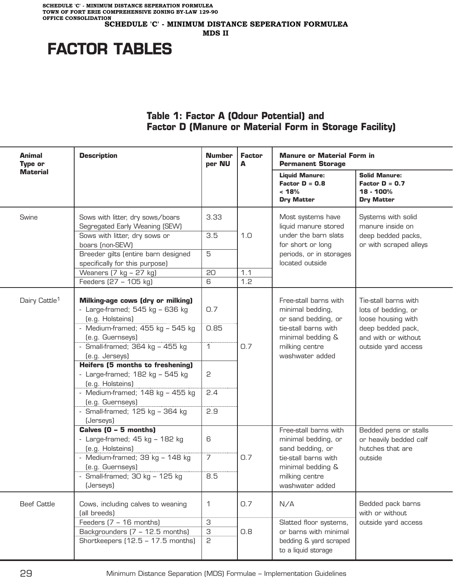**SCHEDULE 'C' - MINIMUM DISTANCE SEPERATION FORMULEA TOWN OF FORT ERIE COMPREHENSIVE ZONING BY-LAW 129-90 OFFICE CONSOLIDATION SCHEDULE 'C' - MINIMUM DISTANCE SEPERATION FORMULEA**

 **MDS II**

# **FACTOR TABLES**

### **Table 1: Factor A (Odour Potential) and Factor D (Manure or Material Form in Storage Facility)**

| <b>Animal</b><br>Type or  | <b>Description</b>                                                                                  | <b>Number</b><br>per NU | <b>Factor</b><br>A | <b>Manure or Material Form in</b><br><b>Permanent Storage</b>                                                 |                                                                            |  |
|---------------------------|-----------------------------------------------------------------------------------------------------|-------------------------|--------------------|---------------------------------------------------------------------------------------------------------------|----------------------------------------------------------------------------|--|
| <b>Material</b>           |                                                                                                     |                         |                    | <b>Liquid Manure:</b><br>Factor $D = 0.8$<br>< 18%<br><b>Dry Matter</b>                                       | <b>Solid Manure:</b><br>Factor $D = 0.7$<br>18 - 100%<br><b>Dry Matter</b> |  |
| Swine                     | Sows with litter, dry sows/boars<br>Segregated Early Weaning (SEW)                                  | 3.33                    |                    | Most systems have<br>liquid manure stored                                                                     | Systems with solid<br>manure inside on                                     |  |
|                           | Sows with litter, dry sows or<br>boars (non-SEW)                                                    | 3.5                     | 1.0                | under the barn slats<br>for short or long                                                                     | deep bedded packs,<br>or with scraped alleys                               |  |
|                           | Breeder gilts (entire barn designed<br>specifically for this purpose)                               | 5                       |                    | periods, or in storages<br>located outside                                                                    |                                                                            |  |
|                           | Weaners $(7 \text{ kg} - 27 \text{ kg})$                                                            | 20                      | 1.1                |                                                                                                               |                                                                            |  |
|                           | Feeders (27 - 105 kg)                                                                               | 6                       | 1.2                |                                                                                                               |                                                                            |  |
| Dairy Cattle <sup>1</sup> | <b>Milking-age cows (dry or milking)</b><br>- Large-framed; $545$ kg - $636$ kg<br>(e.g. Holsteins) | 0.7                     |                    | Free-stall barns with<br>minimal bedding,<br>or sand bedding, or                                              | Tie-stall barns with<br>lots of bedding, or<br>loose housing with          |  |
|                           | - Medium-framed; 455 kg - 545 kg<br>(e.g. Guernseys)                                                | 0.85                    |                    | tie-stall barns with<br>minimal bedding &                                                                     | deep bedded pack,<br>and with or without                                   |  |
|                           | - Small-framed; 364 kg - 455 kg<br>(e.g. Jerseys)                                                   | $\mathbf{1}$            | 0.7                | milking centre<br>washwater added                                                                             | outside yard access                                                        |  |
|                           | Heifers (5 months to freshening)<br>- Large-framed; $182$ kg - $545$ kg<br>(e.g. Holsteins)         | 2                       |                    |                                                                                                               |                                                                            |  |
|                           | - Medium-framed; $148$ kg - $455$ kg<br>(e.g. Guernseys)                                            | 2.4                     |                    |                                                                                                               |                                                                            |  |
|                           | - Small-framed; 125 kg - 364 kg<br>(Jerseys)                                                        | 2.9                     |                    |                                                                                                               |                                                                            |  |
|                           | Calves (0 - 5 months)<br>- Large-framed; $45$ kg - $182$ kg<br>(e.g. Holsteins)                     | 6                       |                    | Free-stall barns with<br>minimal bedding, or<br>sand bedding, or<br>tie-stall barns with<br>minimal bedding & | Bedded pens or stalls<br>or heavily bedded calf<br>hutches that are        |  |
|                           | - Medium-framed; 39 kg - 148 kg<br>(e.g. Guernseys)                                                 | $\overline{7}$          | 0.7                |                                                                                                               | outside                                                                    |  |
|                           | - Small-framed; $30$ kg - $125$ kg<br>(Jerseys)                                                     | 8.5                     |                    | milking centre<br>washwater added                                                                             |                                                                            |  |
| <b>Beef Cattle</b>        | Cows, including calves to weaning<br>(all breeds)                                                   | 1                       | 0.7                | N/A                                                                                                           | Bedded pack barns<br>with or without                                       |  |
|                           | Feeders $(7 - 16$ months)                                                                           | З                       |                    | Slatted floor systems,                                                                                        | outside yard access                                                        |  |
|                           | Backgrounders (7 - 12.5 months)                                                                     | З                       | 0.8                | or barns with minimal                                                                                         |                                                                            |  |
|                           | Shortkeepers (12.5 - 17.5 months)                                                                   | 2                       |                    | bedding & yard scraped<br>to a liquid storage                                                                 |                                                                            |  |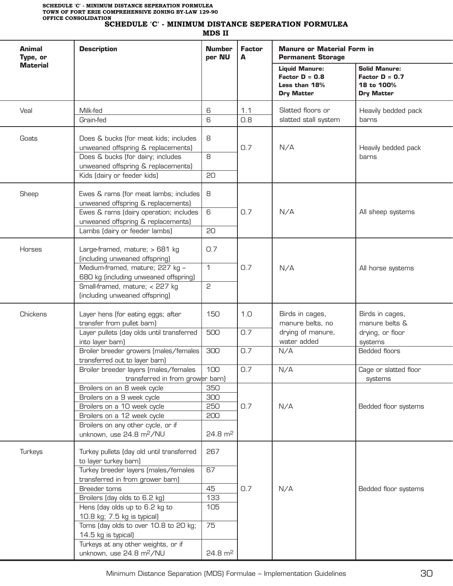i,

L

L

L

#### **SCHEDULE 'C' - MINIMUM DISTANCE SEPERATION FORMULEA**

 **MDS II**

| Animal<br>Type, or | <b>Description</b>                                                                                                                                                                                               | <b>Number</b><br>per NU                        | <b>Factor</b><br>A | <b>Manure or Material Form in</b><br><b>Permanent Storage</b>                   |                                                                             |  |
|--------------------|------------------------------------------------------------------------------------------------------------------------------------------------------------------------------------------------------------------|------------------------------------------------|--------------------|---------------------------------------------------------------------------------|-----------------------------------------------------------------------------|--|
| <b>Material</b>    |                                                                                                                                                                                                                  |                                                |                    | <b>Liquid Manure:</b><br>Factor $D = 0.8$<br>Less than 18%<br><b>Dry Matter</b> | <b>Solid Manure:</b><br>Factor $D = 0.7$<br>18 to 100%<br><b>Dry Matter</b> |  |
| Veal               | Milk-fed<br>Grain-fed                                                                                                                                                                                            | 6<br>6                                         | 1.1<br>0.8         | Slatted floors or<br>slatted stall system                                       | Heavily bedded pack<br>barns                                                |  |
| Goats              | Does & bucks (for meat kids; includes<br>unweaned offspring & replacements)<br>Does & bucks (for dairy; includes<br>unweaned offspring & replacements)<br>Kids (dairy or feeder kids)                            | 8<br>8<br>20                                   | 0.7                | N/A                                                                             | Heavily bedded pack<br>barns                                                |  |
| Sheep              | Ewes & rams (for meat lambs; includes<br>unweaned offspring & replacements)<br>Ewes & rams (dairy operation; includes<br>unweaned offspring & replacements)<br>Lambs (dairy or feeder lambs)                     | 8<br>6<br>20                                   | 0.7                | N/A                                                                             | All sheep systems                                                           |  |
| Horses             | Large-framed, mature; > 681 kg<br>(including unweaned offspring)<br>Medium-framed, mature; 227 kg -<br>680 kg (including unweaned offspring)<br>Small-framed, mature; < 227 kg<br>(including unweaned offspring) | 0.7<br>$\mathbf{1}$<br>2                       | 0.7                | N/A                                                                             | All horse systems                                                           |  |
| Chickens           | Layer hens (for eating eggs; after<br>transfer from pullet barn)<br>Layer pullets (day olds until transferred<br>into layer barn)                                                                                | 150<br>500                                     | 1.0<br>0.7         | Birds in cages,<br>manure belts, no<br>drying of manure,<br>water added         | Birds in cages,<br>manure belts &<br>drying, or floor<br>systems            |  |
|                    | Broiler breeder growers (males/females<br>transferred out to layer barn)                                                                                                                                         | 300                                            | 0.7                | N/A                                                                             | <b>Bedded floors</b>                                                        |  |
|                    | Broiler breeder layers (males/females<br>transferred in from grower barn)                                                                                                                                        | 100                                            | 0.7                | N/A                                                                             | Cage or slatted floor<br>systems                                            |  |
|                    | Broilers on an 8 week cycle<br>Broilers on a 9 week cycle<br>Broilers on a 10 week cycle<br>Broilers on a 12 week cycle<br>Broilers on any other cycle, or if<br>unknown, use 24.8 m <sup>2</sup> /NU            | 350<br>300<br>250<br>200<br>$24.8 \text{ m}^2$ | 0.7                | N/A                                                                             | Bedded floor systems                                                        |  |
| Turkeys            | Turkey pullets (day old until transferred<br>to layer turkey barn)<br>Turkey breeder layers (males/females                                                                                                       | 267<br>67                                      |                    |                                                                                 |                                                                             |  |
|                    | transferred in from grower barn)<br>Breeder toms<br>Broilers (day olds to 6.2 kg)<br>Hens (day olds up to 6.2 kg to<br>10.8 kg; 7.5 kg is typical)<br>Toms (day olds to over 10.8 to 20 kg;                      | 45<br>133<br>105<br>75                         | 0.7                | N/A                                                                             | Bedded floor systems                                                        |  |
|                    | 14.5 kg is typical)<br>Turkeys at any other weights, or if<br>unknown, use 24.8 m <sup>2</sup> /NU                                                                                                               | $24.8 \text{ m}^2$                             |                    |                                                                                 |                                                                             |  |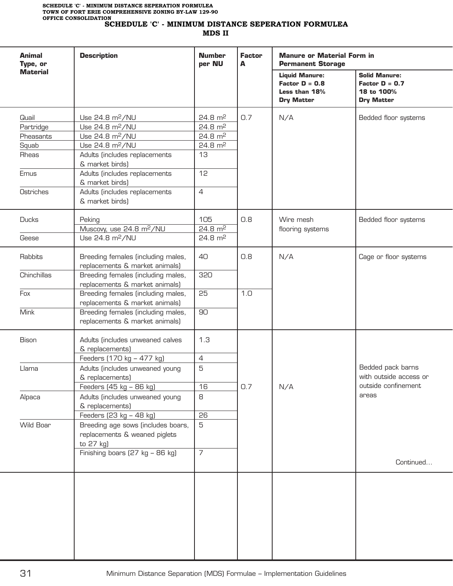**MDS II**

| Animal<br>Type, or | <b>Description</b>                                                                                     | <b>Number</b><br>per NU                  | <b>Factor</b><br>A | <b>Manure or Material Form in</b><br><b>Permanent Storage</b>                   |                                                                             |
|--------------------|--------------------------------------------------------------------------------------------------------|------------------------------------------|--------------------|---------------------------------------------------------------------------------|-----------------------------------------------------------------------------|
| <b>Material</b>    |                                                                                                        |                                          |                    | <b>Liquid Manure:</b><br>Factor $D = 0.8$<br>Less than 18%<br><b>Dry Matter</b> | <b>Solid Manure:</b><br>Factor $D = 0.7$<br>18 to 100%<br><b>Dry Matter</b> |
| Quail<br>Partridge | Use 24.8 m <sup>2</sup> /NU<br>Use 24.8 m <sup>2</sup> /NU                                             | $24.8 \text{ m}^2$<br>$24.8 \text{ m}^2$ | 0.7                | N/A                                                                             | Bedded floor systems                                                        |
| Pheasants          | Use 24.8 m <sup>2</sup> /NU                                                                            | $24.8 \text{ m}^2$                       |                    |                                                                                 |                                                                             |
| Squab              | Use 24.8 m <sup>2</sup> /NU                                                                            | $24.8 \text{ m}^2$                       |                    |                                                                                 |                                                                             |
| Rheas              | Adults (includes replacements                                                                          | 13                                       |                    |                                                                                 |                                                                             |
|                    | & market birds)                                                                                        |                                          |                    |                                                                                 |                                                                             |
| Emus               | Adults (includes replacements<br>& market birds)                                                       | 12                                       |                    |                                                                                 |                                                                             |
| Ostriches          | Adults (includes replacements<br>& market birds)                                                       | $\overline{4}$                           |                    |                                                                                 |                                                                             |
| <b>Ducks</b>       | Peking                                                                                                 | 105                                      | 0.8                | Wire mesh                                                                       | Bedded floor systems                                                        |
|                    | Muscovy, use 24.8 m <sup>2</sup> /NU                                                                   | $24.8 \text{ m}^2$                       |                    | flooring systems                                                                |                                                                             |
| Geese              | Use 24.8 m <sup>2</sup> /NU                                                                            | $24.8 \text{ m}^2$                       |                    |                                                                                 |                                                                             |
| Rabbits            | Breeding females (including males,                                                                     | 40                                       | 0.8                | N/A                                                                             | Cage or floor systems                                                       |
| Chinchillas        | replacements & market animals)<br>Breeding females (including males,<br>replacements & market animals) | 320                                      |                    |                                                                                 |                                                                             |
| Fox                | Breeding females (including males,<br>replacements & market animals)                                   | 25                                       | 1.0                |                                                                                 |                                                                             |
| Mink               | Breeding females (including males,<br>replacements & market animals)                                   | 90                                       |                    |                                                                                 |                                                                             |
| <b>Bison</b>       | Adults (includes unweaned calves<br>& replacements)                                                    | 1.3                                      |                    |                                                                                 |                                                                             |
|                    | Feeders (170 kg - 477 kg)                                                                              | $\overline{4}$                           |                    |                                                                                 |                                                                             |
| Llama              | Adults (includes unweaned young<br>& replacements)                                                     | 5                                        |                    | N/A                                                                             | Bedded pack barns<br>with outside access or                                 |
|                    | Feeders (45 kg - 86 kg)                                                                                | 16                                       | 0.7                |                                                                                 | outside confinement                                                         |
| Alpaca             | Adults (includes unweaned young<br>& replacements)                                                     | 8                                        |                    |                                                                                 | areas                                                                       |
|                    | Feeders (23 kg - 48 kg)                                                                                | 26                                       |                    |                                                                                 |                                                                             |
| Wild Boar          | Breeding age sows (includes boars,<br>replacements & weaned piglets<br>to 27 kg)                       | 5                                        |                    |                                                                                 |                                                                             |
|                    | Finishing boars (27 kg - 86 kg)                                                                        | $\overline{7}$                           |                    |                                                                                 | Continued                                                                   |
|                    |                                                                                                        |                                          |                    |                                                                                 |                                                                             |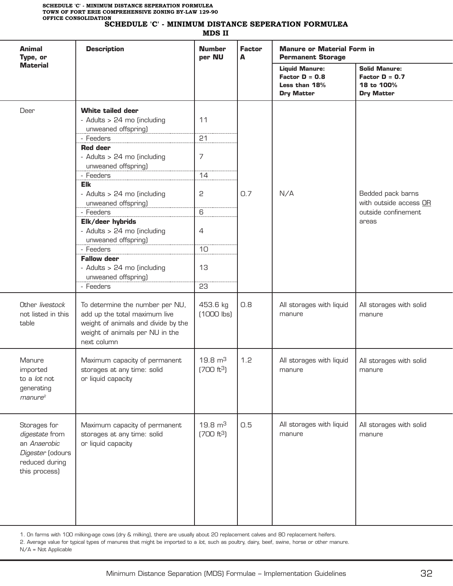#### **SCHEDULE 'C' - MINIMUM DISTANCE SEPERATION FORMULEA**

 **MDS II**

| <b>Animal</b><br>Type, or<br><b>Material</b>                                                          | <b>Description</b>                                                                                                                                                                                                                                                                                                                                                                                                                    | <b>Number</b><br>per NU                                                  | <b>Factor</b><br>A | <b>Manure or Material Form in</b><br><b>Permanent Storage</b>                   |                                                                             |  |
|-------------------------------------------------------------------------------------------------------|---------------------------------------------------------------------------------------------------------------------------------------------------------------------------------------------------------------------------------------------------------------------------------------------------------------------------------------------------------------------------------------------------------------------------------------|--------------------------------------------------------------------------|--------------------|---------------------------------------------------------------------------------|-----------------------------------------------------------------------------|--|
|                                                                                                       |                                                                                                                                                                                                                                                                                                                                                                                                                                       |                                                                          |                    | <b>Liquid Manure:</b><br>Factor $D = 0.8$<br>Less than 18%<br><b>Dry Matter</b> | <b>Solid Manure:</b><br>Factor $D = 0.7$<br>18 to 100%<br><b>Dry Matter</b> |  |
| Deer                                                                                                  | <b>White tailed deer</b><br>- Adults > 24 mo (including<br>unweaned offspring)<br>- Feeders<br><b>Red deer</b><br>- Adults > 24 mo (including<br>unweaned offspring)<br>- Feeders<br><b>Elk</b><br>- Adults > 24 mo (including<br>unweaned offspring)<br>- Feeders<br>Elk/deer hybrids<br>- Adults > 24 mo (including<br>unweaned offspring)<br>- Feeders<br><b>Fallow deer</b><br>- Adults > 24 mo (including<br>unweaned offspring) | 11<br>21<br>$\overline{7}$<br>14<br>2<br>6<br>$\overline{4}$<br>10<br>13 | 0.7                | N/A                                                                             | Bedded pack barns<br>with outside access OR<br>outside confinement<br>areas |  |
|                                                                                                       | - Feeders                                                                                                                                                                                                                                                                                                                                                                                                                             | 23                                                                       |                    |                                                                                 |                                                                             |  |
| Other livestock<br>not listed in this<br>table                                                        | To determine the number per NU,<br>add up the total maximum live<br>weight of animals and divide by the<br>weight of animals per NU in the<br>next column                                                                                                                                                                                                                                                                             | 453.6 kg<br>$(1000$ lbs)                                                 | 0.8                | All storages with liquid<br>manure                                              | All storages with solid<br>manure                                           |  |
| Manure<br>imported<br>to a lot not<br>generating<br>$m$ anure $2$                                     | Maximum capacity of permanent<br>storages at any time: solid<br>or liquid capacity                                                                                                                                                                                                                                                                                                                                                    | $19.8 \text{ m}^3$<br>(700 ft <sup>3</sup> )                             | 1.2                | All storages with liquid<br>manure                                              | All storages with solid<br>manure                                           |  |
| Storages for<br>digestate from<br>an Anaerobic<br>Digester (odours<br>reduced during<br>this process) | Maximum capacity of permanent<br>storages at any time: solid<br>or liquid capacity                                                                                                                                                                                                                                                                                                                                                    | $19.8 \text{ m}^3$<br>(700 ft <sup>3</sup> )                             | 0.5                | All storages with liquid<br>manure                                              | All storages with solid<br>manure                                           |  |

1. On farms with 100 milking-age cows (dry & milking), there are usually about 20 replacement calves and 80 replacement heifers.

2. Average value for typical types of manures that might be imported to a lot, such as poultry, dairy, beef, swine, horse or other manure.

N/A = Not Applicable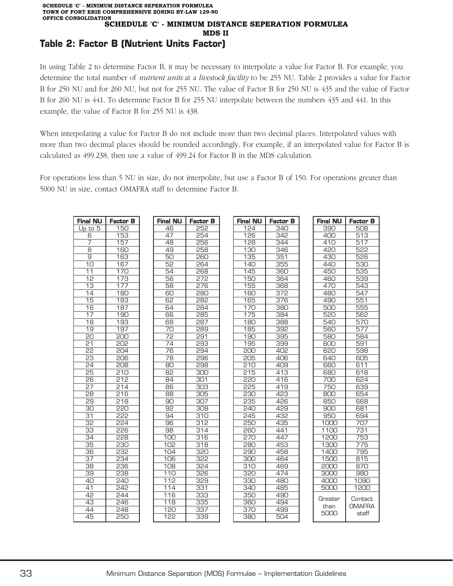# **Table 2: Factor B (Nutrient Units Factor)**

In using Table 2 to determine Factor B, it may be necessary to interpolate a value for Factor B. For example, you determine the total number of *nutrient units* at a *livestock facility* to be 255 NU. Table 2 provides a value for Factor B for 250 NU and for 260 NU, but not for 255 NU. The value of Factor B for 250 NU is 435 and the value of Factor B for 260 NU is 441. To determine Factor B for 255 NU interpolate between the numbers 435 and 441. In this example, the value of Factor B for 255 NU is 438.

When interpolating a value for Factor B do not include more than two decimal places. Interpolated values with more than two decimal places should be rounded accordingly. For example, if an interpolated value for Factor B is calculated as 499.238, then use a value of 499.24 for Factor B in the MDS calculation.

For operations less than 5 NU in size, do not interpolate, but use a Factor B of 150. For operations greater than 5000 NU in size, contact OMAFRA staff to determine Factor B.

| Final NU                          | Factor B         |
|-----------------------------------|------------------|
| 46                                | 252              |
| 47                                | $\overline{254}$ |
| 48                                | 256              |
| $\frac{49}{ }$                    | 258              |
| 50                                | ؟<br>260         |
| 52                                | 264              |
| 54                                | 268              |
| 56                                | <u>575</u>       |
| $\frac{6}{58}$                    | $\frac{276}{2}$  |
| 60                                | 280              |
| $\overline{62}$                   | 282              |
| 64                                | 284              |
| 66                                | 285              |
|                                   | $\frac{287}{5}$  |
| 68<br>70<br>72                    | 289              |
|                                   | 291              |
| $\overline{2}\overline{4}$        | 593              |
| 76                                | 294              |
| 78                                | ρç<br>36         |
| $\frac{1}{80}$                    | 298              |
| $\overline{82}$                   | $\frac{1}{300}$  |
| 84                                | 301              |
| 86                                | $\frac{303}{1}$  |
|                                   |                  |
| $\frac{88}{90}$                   | 305<br>307       |
| 92                                | 309              |
| 94                                | 310              |
| 96                                | 312              |
| 98                                | 314              |
| 100                               | 316              |
| $\overline{10}2$                  | 318              |
| 104                               | <u>320</u>       |
| 10<br>36                          | 355              |
| $\frac{1}{108}$                   | 324              |
| 110                               | 326              |
| $\overline{112}$                  | 329              |
| 114                               | 331              |
| 116                               | 333              |
| $\overline{11}$<br>$\overline{8}$ | 335              |
| $\overline{120}$                  | 337              |
| 122                               | 339              |

| <b>Final NU</b>   | <b>Factor B</b> |
|-------------------|-----------------|
| 124               | 340             |
| 126               | 342             |
| 128               | 344             |
| 130               | 346             |
| $\overline{1}35$  | 351             |
| 140               | 355             |
| 145               | 360             |
| $\overline{1}50$  | 364             |
| 155               | 368             |
| 160               | <u>375</u>      |
| $\frac{15}{165}$  | 376             |
| $\overline{17}$ O | 380             |
| 175               | 384             |
| 180<br>J          | 388             |
| 185               | 392             |
| $\overline{190}$  | 395             |
| 195               | 399             |
| 200               | 402             |
| 205               | 406             |
| $\overline{210}$  | 409             |
| 215               | 413             |
| 220<br>ć          | 416             |
| 225               | 419             |
| 230               | 423             |
| 235               | 426             |
| ć<br>240<br>J     | 429             |
| 245               | 432             |
| 250               | 435             |
| $\frac{260}{260}$ | 441             |
| 270<br>J          | 447             |
| 280               | 453             |
| 290               | 458             |
| 300               | 464             |
| 310<br>1          | 469             |
| $\overline{320}$  | 474             |
| 330               | 480             |
| $\frac{340}{278}$ | 485             |
| 35C<br>1          | 490<br>ך        |
| 360               | 494             |
| 370               | 499             |
|                   |                 |
| 380               | 504             |

| Final NU           | <b>Factor B</b>  |
|--------------------|------------------|
| 390                | 508              |
| $\frac{400}{ }$    | $5\overline{13}$ |
| 410                | 517              |
| 420                | 522              |
| 430                | 526              |
| 440                | 530              |
| 450                | 535              |
| 460                | 539              |
| 470                | 543              |
| 480                | 547              |
| 490                | 551              |
| 500                | 555              |
| 520                | 562              |
| 540                | 570              |
| 560                | 577              |
| 580                | 584              |
| 600                | 591              |
| 620                | 598              |
| 640                | 605              |
| 660                | 611              |
| 680                | 618              |
| 700                | 624              |
| 750                | 639              |
| 800                | 654              |
| 850                | 668              |
| 900                | 681              |
| 950                | 694              |
| 1000               | 707              |
| 1100               | 731              |
| $\overline{1}$ 200 | 753              |
| $\frac{1}{1300}$   | 775              |
| 1400               | 795              |
| 1500               | 815              |
| 2000               | 870              |
| 3000               | 980              |
| 4000               | 1090             |
| 5000               | 1200             |
| Greater            | Contact          |
| than               | <b>OMAFRA</b>    |
| 5000               | staff            |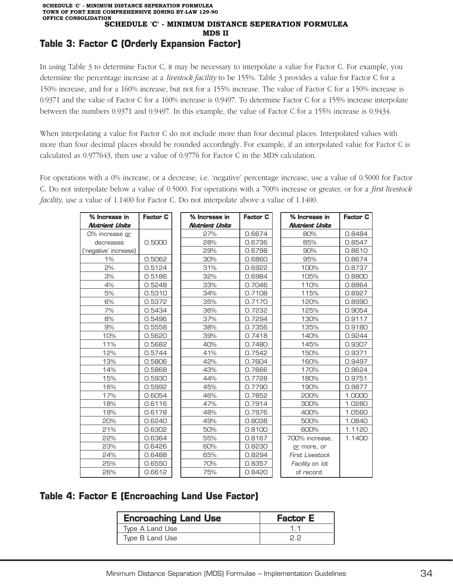# **Table 3: Factor C (Orderly Expansion Factor)**

In using Table 3 to determine Factor C, it may be necessary to interpolate a value for Factor C. For example, you determine the percentage increase at a *livestock facility* to be 155%. Table 3 provides a value for Factor C for a 150% increase, and for a 160% increase, but not for a 155% increase. The value of Factor C for a 150% increase is 0.9371 and the value of Factor C for a 160% increase is 0.9497. To determine Factor C for a 155% increase interpolate between the numbers 0.9371 and 0.9497. In this example, the value of Factor C for a 155% increase is 0.9434.

When interpolating a value for Factor C do not include more than four decimal places. Interpolated values with more than four decimal places should be rounded accordingly. For example, if an interpolated value for Factor C is calculated as 0.977643, then use a value of 0.9776 for Factor C in the MDS calculation.

For operations with a 0% increase, or a decrease, i.e. 'negative' percentage increase, use a value of 0.5000 for Factor C. Do not interpolate below a value of 0.5000. For operations with a 700% increase or greater, or for a *first livestock facility*, use a value of 1.1400 for Factor C. Do not interpolate above a value of 1.1400.

| % Increase in         | <b>Factor C</b> | % Increase in         | <b>Factor C</b> | % Increase in          | <b>Factor C</b> |
|-----------------------|-----------------|-----------------------|-----------------|------------------------|-----------------|
| <b>Nutrient Units</b> |                 | <b>Nutrient Units</b> |                 | <b>Nutrient Units</b>  |                 |
| 0% increase or        |                 | 27%                   | 0.6674          | 80%                    | 0.8484          |
| decreases             | 0.5000          | 28%                   | 0.6736          | 85%                    | 0.8547          |
| ('negative' increase) |                 | 29%                   | 0.6798          | 90%                    | 0.8610          |
| 1%                    | 0.5062          | 30%                   | 0.6860          | 95%                    | 0.8674          |
| 2%                    | 0.5124          | 31%                   | 0.6922          | 100%                   | 0.8737          |
| 3%                    | 0.5186          | 32%                   | 0.6984          | 105%                   | 0.8800          |
| 4%                    | 0.5248          | 33%                   | 0.7046          | 110%                   | 0.8864          |
| 5%                    | 0.5310          | 34%                   | 0.7108          | 115%                   | 0.8927          |
| 6%                    | 0.5372          | 35%                   | 0.7170          | 120%                   | 0.8990          |
| 7%                    | 0.5434          | 36%                   | 0.7232          | 125%                   | 0.9054          |
| 8%                    | 0.5496          | 37%                   | 0.7294          | 130%                   | 0.9117          |
| 9%                    | 0.5558          | 38%                   | 0.7356          | 135%                   | 0.9180          |
| 10%                   | 0.5620          | 39%                   | 0.7418          | 140%                   | 0.9244          |
| 11%                   | 0.5682          | 40%                   | 0.7480          | 145%                   | 0.9307          |
| 12%                   | 0.5744          | 41%                   | 0.7542          | 150%                   | 0.9371          |
| 13%                   | 0.5806          | 42%                   | 0.7604          | 160%                   | 0.9497          |
| 14%                   | 0.5868          | 43%                   | 0.7666          | 170%                   | 0.9624          |
| 15%                   | 0.5930          | 44%                   | 0.7728          | 180%                   | 0.9751          |
| 16%                   | 0.5992          | 45%                   | 0.7790          | 190%                   | 0.9877          |
| 17%                   | 0.6054          | 46%                   | 0.7852          | 200%                   | 1.0000          |
| 18%                   | 0.6116          | 47%                   | 0.7914          | 300%                   | 1.0280          |
| 19%                   | 0.6178          | 48%                   | 0.7976          | 400%                   | 1.0560          |
| 20%                   | 0.6240          | 49%                   | 0.8038          | 500%                   | 1.0840          |
| 21%                   | 0.6302          | 50%                   | 0.8100          | 600%                   | 1.1120          |
| 22%                   | 0.6364          | 55%                   | 0.8167          | 700% increase,         | 1.1400          |
| 23%                   | 0.6426          | 60%                   | 0.8230          | or more, or            |                 |
| 24%                   | 0.6488          | 65%                   | 0.8294          | <b>First Livestock</b> |                 |
| 25%                   | 0.6550          | 70%                   | 0.8357          | Facility on lot        |                 |
| 26%                   | 0.6612          | 75%                   | 0.8420          | of record.             |                 |

### **Table 4: Factor E (Encroaching Land Use Factor)**

| <b>Encroaching Land Use</b> | <b>Factor E</b> |
|-----------------------------|-----------------|
| Type A Land Use             |                 |
| Type B Land Use             |                 |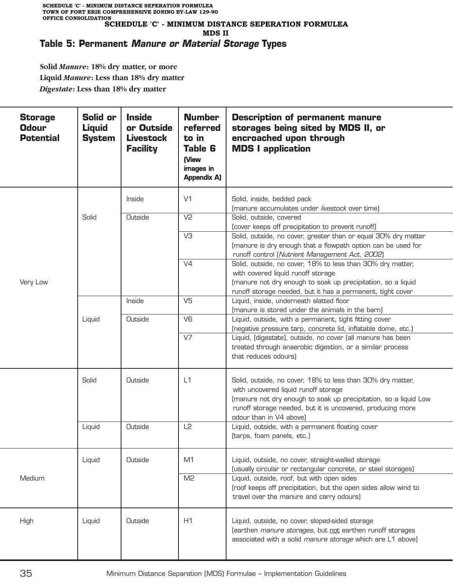## **Table 5: Permanent Manure or Material Storage Types**

**Solid** *Manure***: 18% dry matter, or more Liquid** *Manure***: Less than 18% dry matter** *Digestate***: Less than 18% dry matter**

| <b>Storage</b><br><b>Odour</b><br><b>Potential</b> | Solid or<br><b>Liquid</b><br><b>System</b> | <b>Inside</b><br>or Outside<br><b>Livestock</b><br><b>Facility</b> | <b>Number</b><br>referred<br>to in<br><b>Table 6</b><br>(View<br>images in<br><b>Appendix A)</b> | <b>Description of permanent manure</b><br>storages being sited by MDS II, or<br>encroached upon through<br><b>MDS I application</b>                                                                                                                             |
|----------------------------------------------------|--------------------------------------------|--------------------------------------------------------------------|--------------------------------------------------------------------------------------------------|-----------------------------------------------------------------------------------------------------------------------------------------------------------------------------------------------------------------------------------------------------------------|
|                                                    |                                            | Inside                                                             | V <sub>1</sub>                                                                                   | Solid, inside, bedded pack<br>(manure accumulates under livestock over time)                                                                                                                                                                                    |
| Very Low                                           | Solid                                      | Outside                                                            | V <sub>2</sub>                                                                                   | Solid, outside, covered<br>(cover keeps off precipitation to prevent runoff)                                                                                                                                                                                    |
|                                                    |                                            |                                                                    | V3                                                                                               | Solid, outside, no cover, greater than or equal 30% dry matter<br>(manure is dry enough that a flowpath option can be used for<br>runoff control (Nutrient Management Act, 2002)                                                                                |
|                                                    |                                            |                                                                    | V <sub>4</sub>                                                                                   | Solid, outside, no cover, 18% to less than 30% dry matter,<br>with covered liquid runoff storage<br>(manure not dry enough to soak up precipitation, so a liquid<br>runoff storage needed, but it has a permanent, tight cover                                  |
|                                                    |                                            | Inside                                                             | V <sub>5</sub>                                                                                   | Liquid, inside, underneath slatted floor<br>(manure is stored under the animals in the barn)                                                                                                                                                                    |
|                                                    | Liquid                                     | Outside                                                            | V <sub>6</sub>                                                                                   | Liquid, outside, with a permanent, tight fitting cover<br>(negative pressure tarp, concrete lid, inflatable dome, etc.)                                                                                                                                         |
|                                                    |                                            |                                                                    | V <sub>7</sub>                                                                                   | Liquid, (digestate), outside, no cover (all manure has been<br>treated through anaerobic digestion, or a similar process<br>that reduces odours)                                                                                                                |
|                                                    | Solid                                      | Outside                                                            | L1                                                                                               | Solid, outside, no cover, 18% to less than 30% dry matter,<br>with uncovered liquid runoff storage<br>(manure not dry enough to soak up precipitation, so a liquid Low<br>runoff storage needed, but it is uncovered, producing more<br>odour than in V4 above) |
|                                                    | Liquid                                     | Outside                                                            | L <sub>2</sub>                                                                                   | Liquid, outside, with a permanent floating cover<br>(tarps, foam panels, etc.)                                                                                                                                                                                  |
| Medium                                             | Liquid                                     | Outside                                                            | M1                                                                                               | Liquid, outside, no cover, straight-walled storage<br>(usually circular or rectangular concrete, or steel storages)                                                                                                                                             |
|                                                    |                                            |                                                                    | M <sub>2</sub>                                                                                   | Liquid, outside, roof, but with open sides<br>(roof keeps off precipitation, but the open sides allow wind to<br>travel over the manure and carry odours)                                                                                                       |
| High                                               | Liquid                                     | Outside                                                            | H1                                                                                               | Liquid, outside, no cover, sloped-sided storage<br>(earthen manure storages, but not earthen runoff storages<br>associated with a solid manure storage which are L1 above)                                                                                      |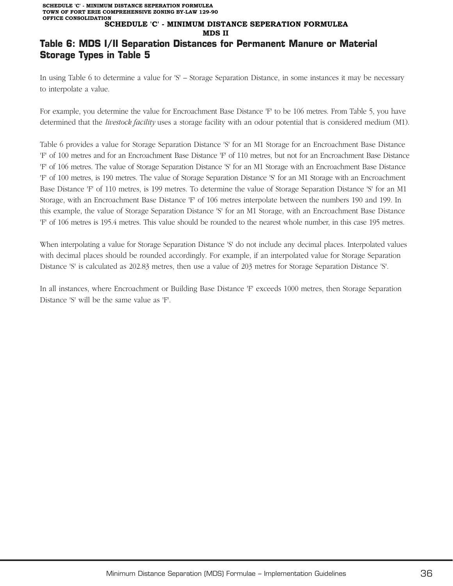#### **SCHEDULE 'C' - MINIMUM DISTANCE SEPERATION FORMULEA TOWN OF FORT ERIE COMPREHENSIVE ZONING BY-LAW 129-90 OFFICE CONSOLIDATION SCHEDULE 'C' - MINIMUM DISTANCE SEPERATION FORMULEA MDS II**

## **Table 6: MDS I/II Separation Distances for Permanent Manure or Material Storage Types in Table 5**

In using Table 6 to determine a value for 'S' – Storage Separation Distance, in some instances it may be necessary to interpolate a value.

For example, you determine the value for Encroachment Base Distance 'F' to be 106 metres. From Table 5, you have determined that the *livestock facility* uses a storage facility with an odour potential that is considered medium (M1).

Table 6 provides a value for Storage Separation Distance 'S' for an M1 Storage for an Encroachment Base Distance 'F' of 100 metres and for an Encroachment Base Distance 'F' of 110 metres, but not for an Encroachment Base Distance 'F' of 106 metres. The value of Storage Separation Distance 'S' for an M1 Storage with an Encroachment Base Distance 'F' of 100 metres, is 190 metres. The value of Storage Separation Distance 'S' for an M1 Storage with an Encroachment Base Distance 'F' of 110 metres, is 199 metres. To determine the value of Storage Separation Distance 'S' for an M1 Storage, with an Encroachment Base Distance 'F' of 106 metres interpolate between the numbers 190 and 199. In this example, the value of Storage Separation Distance 'S' for an M1 Storage, with an Encroachment Base Distance 'F' of 106 metres is 195.4 metres. This value should be rounded to the nearest whole number, in this case 195 metres.

When interpolating a value for Storage Separation Distance 'S' do not include any decimal places. Interpolated values with decimal places should be rounded accordingly. For example, if an interpolated value for Storage Separation Distance 'S' is calculated as 202.83 metres, then use a value of 203 metres for Storage Separation Distance 'S'.

In all instances, where Encroachment or Building Base Distance 'F' exceeds 1000 metres, then Storage Separation Distance 'S' will be the same value as 'F'.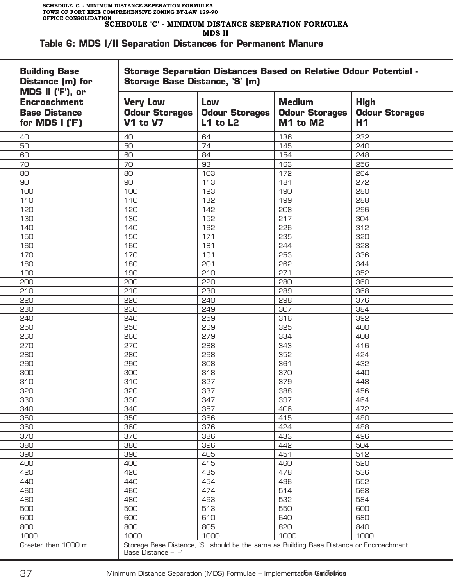#### **MDS II**

#### **Table 6: MDS I/II Separation Distances for Permanent Manure**

| <b>Building Base</b><br><b>Distance (m) for</b>                                    | <b>Storage Separation Distances Based on Relative Odour Potential -</b><br>Storage Base Distance, 'S' (m) |                                                                                          |                                                    |                                            |  |  |  |
|------------------------------------------------------------------------------------|-----------------------------------------------------------------------------------------------------------|------------------------------------------------------------------------------------------|----------------------------------------------------|--------------------------------------------|--|--|--|
| MDS II ('F'), or<br><b>Encroachment</b><br><b>Base Distance</b><br>for MDS I ('F') | <b>Very Low</b><br><b>Odour Storages</b><br><b>V1 to V7</b>                                               | Low<br><b>Odour Storages</b><br>$L1$ to $L2$                                             | <b>Medium</b><br><b>Odour Storages</b><br>M1 to M2 | <b>High</b><br><b>Odour Storages</b><br>H1 |  |  |  |
| 40                                                                                 | 40                                                                                                        | 64                                                                                       | 136                                                | 232                                        |  |  |  |
| 50                                                                                 | 50                                                                                                        | 74                                                                                       | 145                                                | 240                                        |  |  |  |
| 60                                                                                 | 60                                                                                                        | 84                                                                                       | 154                                                | 248                                        |  |  |  |
| 70                                                                                 | 70                                                                                                        | 93                                                                                       | 163                                                | 256                                        |  |  |  |
| 80                                                                                 | 80                                                                                                        | 103                                                                                      | 172                                                | 264                                        |  |  |  |
| 90                                                                                 | 90                                                                                                        | 113                                                                                      | 181                                                | 272                                        |  |  |  |
| 100                                                                                | 100                                                                                                       | 123                                                                                      | 190                                                | 280                                        |  |  |  |
| 110                                                                                | 110                                                                                                       | 132                                                                                      | 199                                                | 288                                        |  |  |  |
| 120                                                                                | 120                                                                                                       | 142                                                                                      | 208                                                | 296                                        |  |  |  |
| 130                                                                                | 130                                                                                                       | 152                                                                                      | 217                                                | 304                                        |  |  |  |
| 140                                                                                | 140                                                                                                       | 162                                                                                      | 226                                                | 312                                        |  |  |  |
| 150                                                                                | 150                                                                                                       | 171                                                                                      | 235                                                | 320                                        |  |  |  |
| 160                                                                                | 160                                                                                                       | 181                                                                                      | 244                                                | 328                                        |  |  |  |
| 170                                                                                | 170                                                                                                       | 191                                                                                      | 253                                                | 336                                        |  |  |  |
| 180                                                                                | 180                                                                                                       | 201                                                                                      | 262                                                | 344                                        |  |  |  |
| 190                                                                                | 190                                                                                                       | 210                                                                                      | 271                                                | 352                                        |  |  |  |
| 200                                                                                | 200                                                                                                       | 220                                                                                      | 280                                                | 360                                        |  |  |  |
| 210                                                                                | 210                                                                                                       | 230                                                                                      | 289                                                | 368                                        |  |  |  |
| 220                                                                                | 220                                                                                                       | 240                                                                                      | 298                                                | 376                                        |  |  |  |
| 230                                                                                | 230                                                                                                       | 249                                                                                      | 307                                                | 384                                        |  |  |  |
| 240                                                                                | 240                                                                                                       | 259                                                                                      | 316                                                | 392                                        |  |  |  |
| 250                                                                                | 250                                                                                                       | 269                                                                                      | 325                                                | 400                                        |  |  |  |
|                                                                                    | 260                                                                                                       | 279                                                                                      | 334                                                |                                            |  |  |  |
| 260                                                                                | 270                                                                                                       | 288                                                                                      | 343                                                | 408<br>416                                 |  |  |  |
| 270                                                                                | 280                                                                                                       |                                                                                          | 352                                                |                                            |  |  |  |
| 280                                                                                |                                                                                                           | 298                                                                                      |                                                    | 424                                        |  |  |  |
| 290                                                                                | 290                                                                                                       | 308                                                                                      | 361                                                | 432                                        |  |  |  |
| 300                                                                                | 300                                                                                                       | 318                                                                                      | 370                                                | 440                                        |  |  |  |
| 310                                                                                | 310                                                                                                       | 327                                                                                      | 379                                                | 448                                        |  |  |  |
| 320                                                                                | 320                                                                                                       | 337                                                                                      | 388                                                | 456                                        |  |  |  |
| 330                                                                                | 330                                                                                                       | 347                                                                                      | 397                                                | 464                                        |  |  |  |
| 340                                                                                | 340                                                                                                       | 357                                                                                      | 406                                                | 472                                        |  |  |  |
| 350                                                                                | 350                                                                                                       | 366                                                                                      | 415                                                | 480                                        |  |  |  |
| 360                                                                                | 360                                                                                                       | 376                                                                                      | 424                                                | 488                                        |  |  |  |
| 370                                                                                | 370                                                                                                       | 386                                                                                      | 433                                                | 496                                        |  |  |  |
| 380                                                                                | 380                                                                                                       | 396                                                                                      | 442                                                | 504                                        |  |  |  |
| 390                                                                                | 390                                                                                                       | 405                                                                                      | 451                                                | 512                                        |  |  |  |
| 400                                                                                | 400                                                                                                       | 415                                                                                      | 460                                                | 520                                        |  |  |  |
| 420                                                                                | 420                                                                                                       | 435                                                                                      | 478                                                | 536                                        |  |  |  |
| 440                                                                                | 440                                                                                                       | 454                                                                                      | 496                                                | 552                                        |  |  |  |
| 460                                                                                | 460                                                                                                       | 474                                                                                      | 514                                                | 568                                        |  |  |  |
| 480                                                                                | 480                                                                                                       | 493                                                                                      | 532                                                | 584                                        |  |  |  |
| 500                                                                                | 500                                                                                                       | 513                                                                                      | 550                                                | 600                                        |  |  |  |
| 600                                                                                | 600                                                                                                       | 610                                                                                      | 640                                                | 680                                        |  |  |  |
| 800                                                                                | 800                                                                                                       | 805                                                                                      | 820                                                | 840                                        |  |  |  |
| 1000                                                                               | 1000                                                                                                      | 1000                                                                                     | 1000                                               | 1000                                       |  |  |  |
| Greater than 1000 m                                                                | Base Distance - 'F'                                                                                       | Storage Base Distance, 'S', should be the same as Building Base Distance or Encroachment |                                                    |                                            |  |  |  |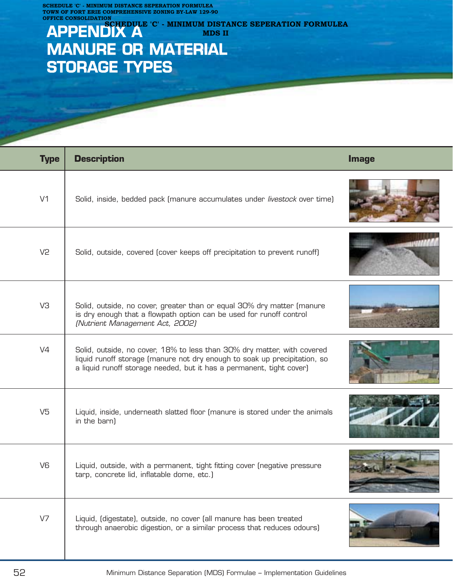**SCHEDULE 'C' - MINIMUM DISTANCE SEPERATION FORMULEA TOWN OF FORT ERIE COMPREHENSIVE ZONING BY-LAW 129-90 OFFICE CONSOLIDATION**

# **APPENDIX A MANURE OR MATERIAL STORAGE TYPES EXAMPLE 2008 II** MDS II

| <b>Type</b>    | <b>Description</b>                                                                                                                                                                                                           | <b>Image</b> |
|----------------|------------------------------------------------------------------------------------------------------------------------------------------------------------------------------------------------------------------------------|--------------|
| V <sub>1</sub> | Solid, inside, bedded pack (manure accumulates under livestock over time)                                                                                                                                                    |              |
| V <sub>2</sub> | Solid, outside, covered (cover keeps off precipitation to prevent runoff)                                                                                                                                                    |              |
| V3             | Solid, outside, no cover, greater than or equal 30% dry matter (manure<br>is dry enough that a flowpath option can be used for runoff control<br>(Nutrient Management Act, 2002)                                             |              |
| V <sub>4</sub> | Solid, outside, no cover, 18% to less than 30% dry matter, with covered<br>liquid runoff storage (manure not dry enough to soak up precipitation, so<br>a liquid runoff storage needed, but it has a permanent, tight cover) |              |
| V <sub>5</sub> | Liquid, inside, underneath slatted floor (manure is stored under the animals<br>in the barn)                                                                                                                                 |              |
| V <sub>6</sub> | Liquid, outside, with a permanent, tight fitting cover (negative pressure<br>tarp, concrete lid, inflatable dome, etc.)                                                                                                      |              |
| V <sub>7</sub> | Liquid, (digestate), outside, no cover (all manure has been treated<br>through anaerobic digestion, or a similar process that reduces odours)                                                                                |              |

**SCHEDULE 'C' - MINIMUM DISTANCE SEPERATION FORMULEA**